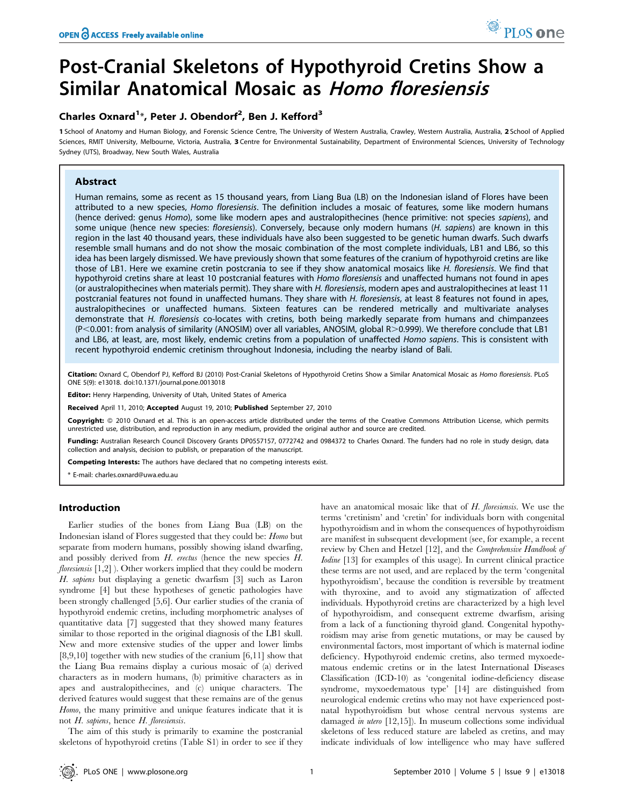# Post-Cranial Skeletons of Hypothyroid Cretins Show a Similar Anatomical Mosaic as Homo floresiensis

# Charles Oxnard<sup>1\*</sup>, Peter J. Obendorf<sup>2</sup>, Ben J. Kefford<sup>3</sup>

1 School of Anatomy and Human Biology, and Forensic Science Centre, The University of Western Australia, Crawley, Western Australia, Australia, 2 School of Applied Sciences, RMIT University, Melbourne, Victoria, Australia, 3 Centre for Environmental Sustainability, Department of Environmental Sciences, University of Technology Sydney (UTS), Broadway, New South Wales, Australia

# Abstract

Human remains, some as recent as 15 thousand years, from Liang Bua (LB) on the Indonesian island of Flores have been attributed to a new species, Homo floresiensis. The definition includes a mosaic of features, some like modern humans (hence derived: genus Homo), some like modern apes and australopithecines (hence primitive: not species sapiens), and some unique (hence new species: floresiensis). Conversely, because only modern humans (H. sapiens) are known in this region in the last 40 thousand years, these individuals have also been suggested to be genetic human dwarfs. Such dwarfs resemble small humans and do not show the mosaic combination of the most complete individuals, LB1 and LB6, so this idea has been largely dismissed. We have previously shown that some features of the cranium of hypothyroid cretins are like those of LB1. Here we examine cretin postcrania to see if they show anatomical mosaics like H. floresiensis. We find that hypothyroid cretins share at least 10 postcranial features with Homo floresiensis and unaffected humans not found in apes (or australopithecines when materials permit). They share with H. floresiensis, modern apes and australopithecines at least 11 postcranial features not found in unaffected humans. They share with H. floresiensis, at least 8 features not found in apes, australopithecines or unaffected humans. Sixteen features can be rendered metrically and multivariate analyses demonstrate that H. floresiensis co-locates with cretins, both being markedly separate from humans and chimpanzees  $(P<0.001$ : from analysis of similarity (ANOSIM) over all variables, ANOSIM, global R $>0.999$ ). We therefore conclude that LB1 and LB6, at least, are, most likely, endemic cretins from a population of unaffected Homo sapiens. This is consistent with recent hypothyroid endemic cretinism throughout Indonesia, including the nearby island of Bali.

Citation: Oxnard C, Obendorf PJ, Kefford BJ (2010) Post-Cranial Skeletons of Hypothyroid Cretins Show a Similar Anatomical Mosaic as Homo floresiensis. PLoS ONE 5(9): e13018. doi:10.1371/journal.pone.0013018

Editor: Henry Harpending, University of Utah, United States of America

Received April 11, 2010; Accepted August 19, 2010; Published September 27, 2010

Copyright: © 2010 Oxnard et al. This is an open-access article distributed under the terms of the Creative Commons Attribution License, which permits unrestricted use, distribution, and reproduction in any medium, provided the original author and source are credited.

Funding: Australian Research Council Discovery Grants DP0557157, 0772742 and 0984372 to Charles Oxnard. The funders had no role in study design, data collection and analysis, decision to publish, or preparation of the manuscript.

Competing Interests: The authors have declared that no competing interests exist.

\* E-mail: charles.oxnard@uwa.edu.au

# Introduction

Earlier studies of the bones from Liang Bua (LB) on the Indonesian island of Flores suggested that they could be: Homo but separate from modern humans, possibly showing island dwarfing, and possibly derived from H. erectus (hence the new species H. *floresiensis*  $[1,2]$  ). Other workers implied that they could be modern H. sapiens but displaying a genetic dwarfism [3] such as Laron syndrome [4] but these hypotheses of genetic pathologies have been strongly challenged [5,6]. Our earlier studies of the crania of hypothyroid endemic cretins, including morphometric analyses of quantitative data [7] suggested that they showed many features similar to those reported in the original diagnosis of the LB1 skull. New and more extensive studies of the upper and lower limbs [8,9,10] together with new studies of the cranium [6,11] show that the Liang Bua remains display a curious mosaic of (a) derived characters as in modern humans, (b) primitive characters as in apes and australopithecines, and (c) unique characters. The derived features would suggest that these remains are of the genus Homo, the many primitive and unique features indicate that it is not H. sapiens, hence H. floresiensis.

The aim of this study is primarily to examine the postcranial skeletons of hypothyroid cretins (Table S1) in order to see if they have an anatomical mosaic like that of H. floresiensis. We use the terms 'cretinism' and 'cretin' for individuals born with congenital hypothyroidism and in whom the consequences of hypothyroidism are manifest in subsequent development (see, for example, a recent review by Chen and Hetzel [12], and the Comprehensive Handbook of Iodine [13] for examples of this usage). In current clinical practice these terms are not used, and are replaced by the term 'congenital hypothyroidism', because the condition is reversible by treatment with thyroxine, and to avoid any stigmatization of affected individuals. Hypothyroid cretins are characterized by a high level of hypothyroidism, and consequent extreme dwarfism, arising from a lack of a functioning thyroid gland. Congenital hypothyroidism may arise from genetic mutations, or may be caused by environmental factors, most important of which is maternal iodine deficiency. Hypothyroid endemic cretins, also termed myxoedematous endemic cretins or in the latest International Diseases Classification (ICD-10) as 'congenital iodine-deficiency disease syndrome, myxoedematous type' [14] are distinguished from neurological endemic cretins who may not have experienced postnatal hypothyroidism but whose central nervous systems are damaged in utero [12,15]). In museum collections some individual skeletons of less reduced stature are labeled as cretins, and may indicate individuals of low intelligence who may have suffered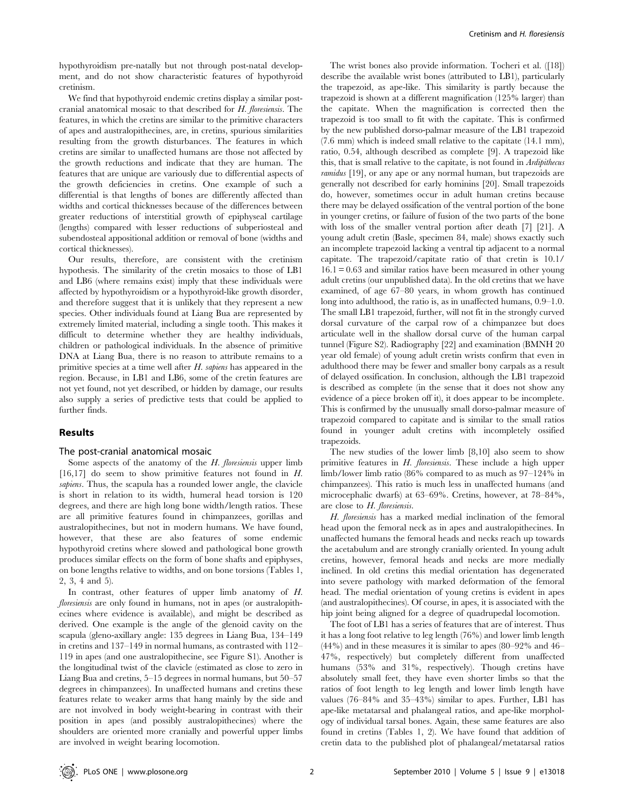hypothyroidism pre-natally but not through post-natal development, and do not show characteristic features of hypothyroid cretinism.

We find that hypothyroid endemic cretins display a similar postcranial anatomical mosaic to that described for H. floresiensis. The features, in which the cretins are similar to the primitive characters of apes and australopithecines, are, in cretins, spurious similarities resulting from the growth disturbances. The features in which cretins are similar to unaffected humans are those not affected by the growth reductions and indicate that they are human. The features that are unique are variously due to differential aspects of the growth deficiencies in cretins. One example of such a differential is that lengths of bones are differently affected than widths and cortical thicknesses because of the differences between greater reductions of interstitial growth of epiphyseal cartilage (lengths) compared with lesser reductions of subperiosteal and subendosteal appositional addition or removal of bone (widths and cortical thicknesses).

Our results, therefore, are consistent with the cretinism hypothesis. The similarity of the cretin mosaics to those of LB1 and LB6 (where remains exist) imply that these individuals were affected by hypothyroidism or a hypothyroid-like growth disorder, and therefore suggest that it is unlikely that they represent a new species. Other individuals found at Liang Bua are represented by extremely limited material, including a single tooth. This makes it difficult to determine whether they are healthy individuals, children or pathological individuals. In the absence of primitive DNA at Liang Bua, there is no reason to attribute remains to a primitive species at a time well after  $H$ . *sapiens* has appeared in the region. Because, in LB1 and LB6, some of the cretin features are not yet found, not yet described, or hidden by damage, our results also supply a series of predictive tests that could be applied to further finds.

## Results

#### The post-cranial anatomical mosaic

Some aspects of the anatomy of the  $H$ . floresiensis upper limb [16,17] do seem to show primitive features not found in H. sapiens. Thus, the scapula has a rounded lower angle, the clavicle is short in relation to its width, humeral head torsion is 120 degrees, and there are high long bone width/length ratios. These are all primitive features found in chimpanzees, gorillas and australopithecines, but not in modern humans. We have found, however, that these are also features of some endemic hypothyroid cretins where slowed and pathological bone growth produces similar effects on the form of bone shafts and epiphyses, on bone lengths relative to widths, and on bone torsions (Tables 1, 2, 3, 4 and 5).

In contrast, other features of upper limb anatomy of H. floresiensis are only found in humans, not in apes (or australopithecines where evidence is available), and might be described as derived. One example is the angle of the glenoid cavity on the scapula (gleno-axillary angle: 135 degrees in Liang Bua, 134–149 in cretins and 137–149 in normal humans, as contrasted with 112– 119 in apes (and one australopithecine, see Figure S1). Another is the longitudinal twist of the clavicle (estimated as close to zero in Liang Bua and cretins, 5–15 degrees in normal humans, but 50–57 degrees in chimpanzees). In unaffected humans and cretins these features relate to weaker arms that hang mainly by the side and are not involved in body weight-bearing in contrast with their position in apes (and possibly australopithecines) where the shoulders are oriented more cranially and powerful upper limbs are involved in weight bearing locomotion.

The wrist bones also provide information. Tocheri et al. ([18]) describe the available wrist bones (attributed to LB1), particularly the trapezoid, as ape-like. This similarity is partly because the trapezoid is shown at a different magnification (125% larger) than the capitate. When the magnification is corrected then the trapezoid is too small to fit with the capitate. This is confirmed by the new published dorso-palmar measure of the LB1 trapezoid (7.6 mm) which is indeed small relative to the capitate (14.1 mm), ratio, 0.54, although described as complete [9]. A trapezoid like this, that is small relative to the capitate, is not found in Ardipithecus ramidus [19], or any ape or any normal human, but trapezoids are generally not described for early hominins [20]. Small trapezoids do, however, sometimes occur in adult human cretins because there may be delayed ossification of the ventral portion of the bone in younger cretins, or failure of fusion of the two parts of the bone with loss of the smaller ventral portion after death [7] [21]. A young adult cretin (Basle, specimen 84, male) shows exactly such an incomplete trapezoid lacking a ventral tip adjacent to a normal capitate. The trapezoid/capitate ratio of that cretin is 10.1/  $16.1 = 0.63$  and similar ratios have been measured in other young adult cretins (our unpublished data). In the old cretins that we have examined, of age 67–80 years, in whom growth has continued long into adulthood, the ratio is, as in unaffected humans, 0.9–1.0. The small LB1 trapezoid, further, will not fit in the strongly curved dorsal curvature of the carpal row of a chimpanzee but does articulate well in the shallow dorsal curve of the human carpal tunnel (Figure S2). Radiography [22] and examination (BMNH 20 year old female) of young adult cretin wrists confirm that even in adulthood there may be fewer and smaller bony carpals as a result of delayed ossification. In conclusion, although the LB1 trapezoid is described as complete (in the sense that it does not show any evidence of a piece broken off it), it does appear to be incomplete. This is confirmed by the unusually small dorso-palmar measure of trapezoid compared to capitate and is similar to the small ratios found in younger adult cretins with incompletely ossified trapezoids.

The new studies of the lower limb [8,10] also seem to show primitive features in H. floresiensis. These include a high upper limb/lower limb ratio (86% compared to as much as 97–124% in chimpanzees). This ratio is much less in unaffected humans (and microcephalic dwarfs) at 63–69%. Cretins, however, at 78–84%, are close to H. floresiensis.

H. floresiensis has a marked medial inclination of the femoral head upon the femoral neck as in apes and australopithecines. In unaffected humans the femoral heads and necks reach up towards the acetabulum and are strongly cranially oriented. In young adult cretins, however, femoral heads and necks are more medially inclined. In old cretins this medial orientation has degenerated into severe pathology with marked deformation of the femoral head. The medial orientation of young cretins is evident in apes (and australopithecines). Of course, in apes, it is associated with the hip joint being aligned for a degree of quadrupedal locomotion.

The foot of LB1 has a series of features that are of interest. Thus it has a long foot relative to leg length (76%) and lower limb length (44%) and in these measures it is similar to apes (80–92% and 46– 47%, respectively) but completely different from unaffected humans (53% and 31%, respectively). Though cretins have absolutely small feet, they have even shorter limbs so that the ratios of foot length to leg length and lower limb length have values (76–84% and 35–43%) similar to apes. Further, LB1 has ape-like metatarsal and phalangeal ratios, and ape-like morphology of individual tarsal bones. Again, these same features are also found in cretins (Tables 1, 2). We have found that addition of cretin data to the published plot of phalangeal/metatarsal ratios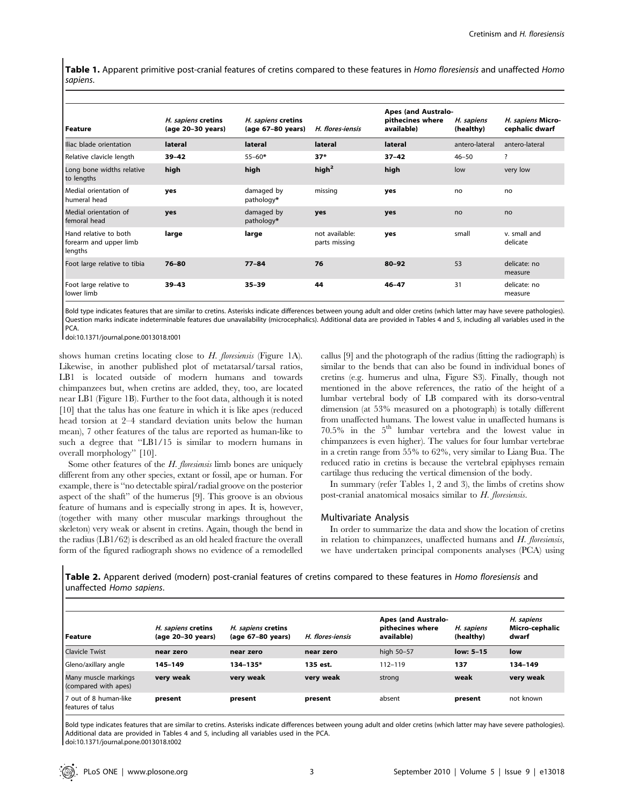Table 1. Apparent primitive post-cranial features of cretins compared to these features in Homo floresiensis and unaffected Homo sapiens.

| <b>Feature</b>                                             | H. sapiens cretins<br>(age 20-30 years) | H. sapiens cretins<br>(age 67-80 years) | H. flores-iensis                | <b>Apes (and Australo-</b><br>pithecines where<br>available) | H. sapiens<br>(healthy) | H. sapiens Micro-<br>cephalic dwarf |
|------------------------------------------------------------|-----------------------------------------|-----------------------------------------|---------------------------------|--------------------------------------------------------------|-------------------------|-------------------------------------|
| Iliac blade orientation                                    | lateral                                 | lateral                                 | lateral                         | lateral                                                      | antero-lateral          | antero-lateral                      |
| Relative clavicle length                                   | $39 - 42$                               | $55 - 60*$                              | $37*$                           | $37 - 42$                                                    | $46 - 50$               | ?                                   |
| Long bone widths relative<br>to lengths                    | high                                    | high                                    | high <sup>2</sup>               | high                                                         | low                     | very low                            |
| Medial orientation of<br>humeral head                      | yes                                     | damaged by<br>pathology*                | missing                         | yes                                                          | no                      | no                                  |
| Medial orientation of<br>femoral head                      | yes                                     | damaged by<br>pathology*                | yes                             | yes                                                          | no                      | no                                  |
| Hand relative to both<br>forearm and upper limb<br>lengths | large                                   | large                                   | not available:<br>parts missing | yes                                                          | small                   | v. small and<br>delicate            |
| Foot large relative to tibia                               | $76 - 80$                               | $77 - 84$                               | 76                              | $80 - 92$                                                    | 53                      | delicate: no<br>measure             |
| Foot large relative to<br>lower limb                       | $39 - 43$                               | $35 - 39$                               | 44                              | $46 - 47$                                                    | 31                      | delicate: no<br>measure             |

Bold type indicates features that are similar to cretins. Asterisks indicate differences between young adult and older cretins (which latter may have severe pathologies). Question marks indicate indeterminable features due unavailability (microcephalics). Additional data are provided in Tables 4 and 5, including all variables used in the PCA.

doi:10.1371/journal.pone.0013018.t001

shows human cretins locating close to H. floresiensis (Figure 1A). Likewise, in another published plot of metatarsal/tarsal ratios, LB1 is located outside of modern humans and towards chimpanzees but, when cretins are added, they, too, are located near LB1 (Figure 1B). Further to the foot data, although it is noted [10] that the talus has one feature in which it is like apes (reduced head torsion at 2–4 standard deviation units below the human mean), 7 other features of the talus are reported as human-like to such a degree that "LB1/15 is similar to modern humans in overall morphology'' [10].

Some other features of the  $H$ . floresiensis limb bones are uniquely different from any other species, extant or fossil, ape or human. For example, there is ''no detectable spiral/radial groove on the posterior aspect of the shaft'' of the humerus [9]. This groove is an obvious feature of humans and is especially strong in apes. It is, however, (together with many other muscular markings throughout the skeleton) very weak or absent in cretins. Again, though the bend in the radius (LB1/62) is described as an old healed fracture the overall form of the figured radiograph shows no evidence of a remodelled

callus [9] and the photograph of the radius (fitting the radiograph) is similar to the bends that can also be found in individual bones of cretins (e.g. humerus and ulna, Figure S3). Finally, though not mentioned in the above references, the ratio of the height of a lumbar vertebral body of LB compared with its dorso-ventral dimension (at 53% measured on a photograph) is totally different from unaffected humans. The lowest value in unaffected humans is  $70.5\%$  in the  $5<sup>th</sup>$  lumbar vertebra and the lowest value in chimpanzees is even higher). The values for four lumbar vertebrae in a cretin range from 55% to 62%, very similar to Liang Bua. The reduced ratio in cretins is because the vertebral epiphyses remain cartilage thus reducing the vertical dimension of the body.

In summary (refer Tables 1, 2 and 3), the limbs of cretins show post-cranial anatomical mosaics similar to H. floresiensis.

#### Multivariate Analysis

In order to summarize the data and show the location of cretins in relation to chimpanzees, unaffected humans and H. floresiensis, we have undertaken principal components analyses (PCA) using

Table 2. Apparent derived (modern) post-cranial features of cretins compared to these features in Homo floresiensis and unaffected Homo sapiens.

| l Feature                                    | H. sapiens cretins<br>(age 20-30 years) | H. sapiens cretins<br>(age 67-80 years) | H. flores-jensis | <b>Apes (and Australo-</b><br>pithecines where<br>available) | H. sapiens<br>(healthy) | H. sapiens<br>Micro-cephalic<br>dwarf |
|----------------------------------------------|-----------------------------------------|-----------------------------------------|------------------|--------------------------------------------------------------|-------------------------|---------------------------------------|
| <b>Clavicle Twist</b>                        | near zero                               | near zero                               | near zero        | high 50-57                                                   | low: 5-15               | low                                   |
| Gleno/axillary angle                         | 145-149                                 | 134-135*                                | 135 est.         | 112-119                                                      | 137                     | 134-149                               |
| Many muscle markings<br>(compared with apes) | very weak                               | very weak                               | very weak        | strong                                                       | weak                    | very weak                             |
| 7 out of 8 human-like<br>Features of talus   | present                                 | present                                 | present          | absent                                                       | present                 | not known                             |

Bold type indicates features that are similar to cretins. Asterisks indicate differences between young adult and older cretins (which latter may have severe pathologies). Additional data are provided in Tables 4 and 5, including all variables used in the PCA. doi:10.1371/journal.pone.0013018.t002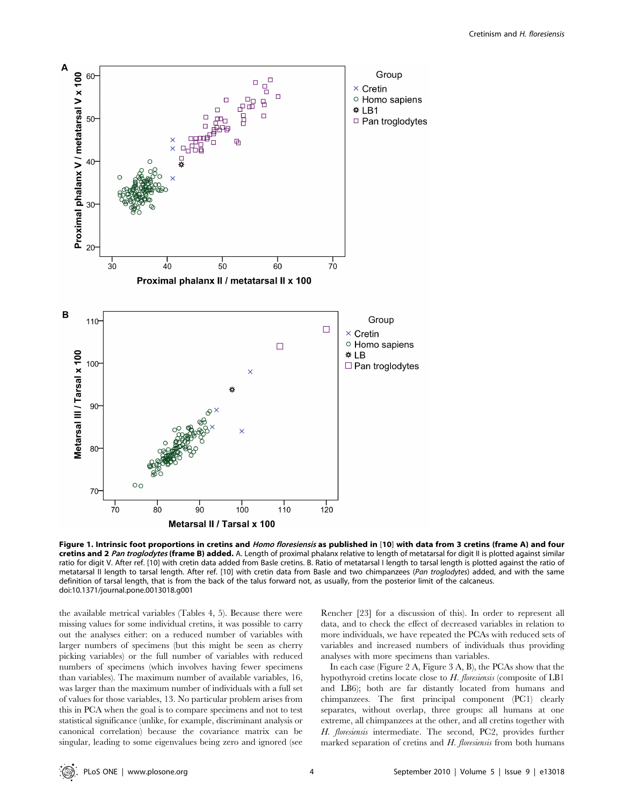

Figure 1. Intrinsic foot proportions in cretins and *Homo floresiensis* as published in [10] with data from 3 cretins (frame A) and four cretins and 2 Pan troglodytes (frame B) added. A. Length of proximal phalanx relative to length of metatarsal for digit II is plotted against similar ratio for digit V. After ref. [10] with cretin data added from Basle cretins. B. Ratio of metatarsal I length to tarsal length is plotted against the ratio of metatarsal II length to tarsal length. After ref. [10] with cretin data from Basle and two chimpanzees (Pan troglodytes) added, and with the same definition of tarsal length, that is from the back of the talus forward not, as usually, from the posterior limit of the calcaneus. doi:10.1371/journal.pone.0013018.g001

the available metrical variables (Tables 4, 5). Because there were missing values for some individual cretins, it was possible to carry out the analyses either: on a reduced number of variables with larger numbers of specimens (but this might be seen as cherry picking variables) or the full number of variables with reduced numbers of specimens (which involves having fewer specimens than variables). The maximum number of available variables, 16, was larger than the maximum number of individuals with a full set of values for those variables, 13. No particular problem arises from this in PCA when the goal is to compare specimens and not to test statistical significance (unlike, for example, discriminant analysis or canonical correlation) because the covariance matrix can be singular, leading to some eigenvalues being zero and ignored (see Rencher [23] for a discussion of this). In order to represent all data, and to check the effect of decreased variables in relation to more individuals, we have repeated the PCAs with reduced sets of variables and increased numbers of individuals thus providing analyses with more specimens than variables.

In each case (Figure 2 A, Figure 3 A, B), the PCAs show that the hypothyroid cretins locate close to H. floresiensis (composite of LB1 and LB6); both are far distantly located from humans and chimpanzees. The first principal component (PC1) clearly separates, without overlap, three groups: all humans at one extreme, all chimpanzees at the other, and all cretins together with H. floresiensis intermediate. The second, PC2, provides further marked separation of cretins and  $H$ . floresiensis from both humans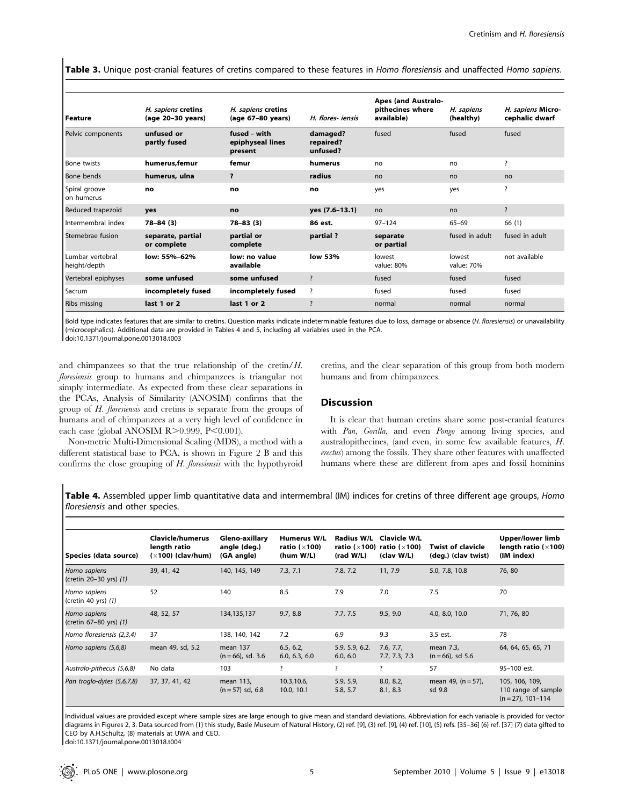Table 3. Unique post-cranial features of cretins compared to these features in Homo floresiensis and unaffected Homo sapiens.

| l Feature                        | H. sapiens cretins<br>(age 20-30 years) | H. sapiens cretins<br>(age 67-80 years)     | H. flores- iensis                 | <b>Apes (and Australo-</b><br>pithecines where<br>available) | H. sapiens<br>(healthy) | H. sapiens Micro-<br>cephalic dwarf |
|----------------------------------|-----------------------------------------|---------------------------------------------|-----------------------------------|--------------------------------------------------------------|-------------------------|-------------------------------------|
| Pelvic components                | unfused or<br>partly fused              | fused - with<br>epiphyseal lines<br>present | damaged?<br>repaired?<br>unfused? | fused                                                        | fused                   | fused                               |
| <b>Bone twists</b>               | humerus, femur                          | femur                                       | humerus                           | no                                                           | no                      | ?                                   |
| Bone bends                       | humerus, ulna                           | ?                                           | radius                            | no                                                           | no                      | no                                  |
| Spiral groove<br>on humerus      | no                                      | no                                          | no                                | yes                                                          | yes                     | $\overline{\cdot}$                  |
| Reduced trapezoid                | yes                                     | no                                          | yes (7.6-13.1)                    | no                                                           | no                      | $\overline{\cdot}$                  |
| Intermembral index               | $78 - 84(3)$                            | $78 - 83(3)$                                | 86 est.                           | $97 - 124$                                                   | $65 - 69$               | 66(1)                               |
| Sternebrae fusion                | separate, partial<br>or complete        | partial or<br>complete                      | partial?                          | separate<br>or partial                                       | fused in adult          | fused in adult                      |
| Lumbar vertebral<br>height/depth | low: 55%-62%                            | low: no value<br>available                  | low 53%                           | lowest<br>value: 80%                                         | lowest<br>value: 70%    | not available                       |
| Vertebral epiphyses              | some unfused                            | some unfused                                | $\overline{\cdot}$                | fused                                                        | fused                   | fused                               |
| Sacrum                           | incompletely fused                      | incompletely fused                          | ?                                 | fused                                                        | fused                   | fused                               |
| <b>Ribs missing</b>              | last 1 or 2                             | last 1 or 2                                 | $\overline{\mathbf{z}}$           | normal                                                       | normal                  | normal                              |

Bold type indicates features that are similar to cretins. Question marks indicate indeterminable features due to loss, damage or absence (H. floresiensis) or unavailability (microcephalics). Additional data are provided in Tables 4 and 5, including all variables used in the PCA. doi:10.1371/journal.pone.0013018.t003

and chimpanzees so that the true relationship of the cretin/H. floresiensis group to humans and chimpanzees is triangular not simply intermediate. As expected from these clear separations in the PCAs, Analysis of Similarity (ANOSIM) confirms that the group of H. floresiensis and cretins is separate from the groups of humans and of chimpanzees at a very high level of confidence in each case (global ANOSIM R $>0.999$ , P $<0.001$ ).

Non-metric Multi-Dimensional Scaling (MDS), a method with a different statistical base to PCA, is shown in Figure 2 B and this confirms the close grouping of  $H$ . *floresiensis* with the hypothyroid cretins, and the clear separation of this group from both modern humans and from chimpanzees.

# **Discussion**

It is clear that human cretins share some post-cranial features with Pan, Gorilla, and even Pongo among living species, and australopithecines, (and even, in some few available features, H. erectus) among the fossils. They share other features with unaffected humans where these are different from apes and fossil hominins

Table 4. Assembled upper limb quantitative data and intermembral (IM) indices for cretins of three different age groups, Homo floresiensis and other species.

| Species (data source)                     | Clavicle/humerus<br>length ratio<br>$(x100)$ (clav/hum) | Gleno-axillary<br>angle (deg.)<br>(GA angle) | Humerus W/L<br>ratio ( $\times$ 100)<br>(hum W/L) | Radius W/L<br>ratio ( $\times$ 100)<br>(rad W/L) | Clavicle W/L<br>ratio ( $\times$ 100)<br>(clav W/L) | <b>Twist of clavicle</b><br>(deg.) (clav twist) | Upper/lower limb<br>length ratio ( $\times$ 100)<br>(IM index) |
|-------------------------------------------|---------------------------------------------------------|----------------------------------------------|---------------------------------------------------|--------------------------------------------------|-----------------------------------------------------|-------------------------------------------------|----------------------------------------------------------------|
| Homo sapiens<br>(cretin 20-30 yrs) (1)    | 39, 41, 42                                              | 140, 145, 149                                | 7.3, 7.1                                          | 7.8, 7.2                                         | 11, 7.9                                             | 5.0, 7.8, 10.8                                  | 76,80                                                          |
| Homo sapiens<br>$ $ (cretin 40 yrs) $(1)$ | 52                                                      | 140                                          | 8.5                                               | 7.9                                              | 7.0                                                 | 7.5                                             | 70                                                             |
| Homo sapiens<br>(cretin 67-80 yrs) (1)    | 48, 52, 57                                              | 134,135,137                                  | 9.7, 8.8                                          | 7.7, 7.5                                         | 9.5, 9.0                                            | 4.0, 8.0, 10.0                                  | 71, 76, 80                                                     |
| Homo floresiensis (2,3,4)                 | 37                                                      | 138, 140, 142                                | 7.2                                               | 6.9                                              | 9.3                                                 | 3.5 est.                                        | 78                                                             |
| Homo sapiens (5,6,8)                      | mean 49, sd, 5.2                                        | mean 137<br>$(n = 66)$ , sd. 3.6             | 6.5, 6.2,<br>6.0, 6.3, 6.0                        | 5.9, 5.9, 6.2.<br>6.0, 6.0                       | 7.6, 7.7,<br>7.7, 7.3, 7.3                          | mean 7.3,<br>$(n = 66)$ , sd 5.6                | 64, 64, 65, 65, 71                                             |
| Australo-pithecus (5,6,8)                 | No data                                                 | 103                                          | ?                                                 | ?                                                | ?                                                   | 57                                              | 95-100 est.                                                    |
| Pan troglo-dytes (5,6,7,8)                | 37, 37, 41, 42                                          | mean 113,<br>$(n = 57)$ sd, 6.8              | 10.3, 10.6,<br>10.0, 10.1                         | 5.9, 5.9,<br>5.8, 5.7                            | 8.0, 8.2,<br>8.1, 8.3                               | mean 49, $(n = 57)$ ,<br>sd 9.8                 | 105, 106, 109,<br>110 range of sample<br>$(n = 27)$ , 101-114  |

Individual values are provided except where sample sizes are large enough to give mean and standard deviations. Abbreviation for each variable is provided for vector diagrams in Figures 2, 3. Data sourced from (1) this study, Basle Museum of Natural History, (2) ref. [9], (3) ref. [9], (4) ref. [10], (5) refs. [35-36] (6) ref. [37] (7) data gifted to CEO by A.H.Schultz, (8) materials at UWA and CEO.

doi:10.1371/journal.pone.0013018.t004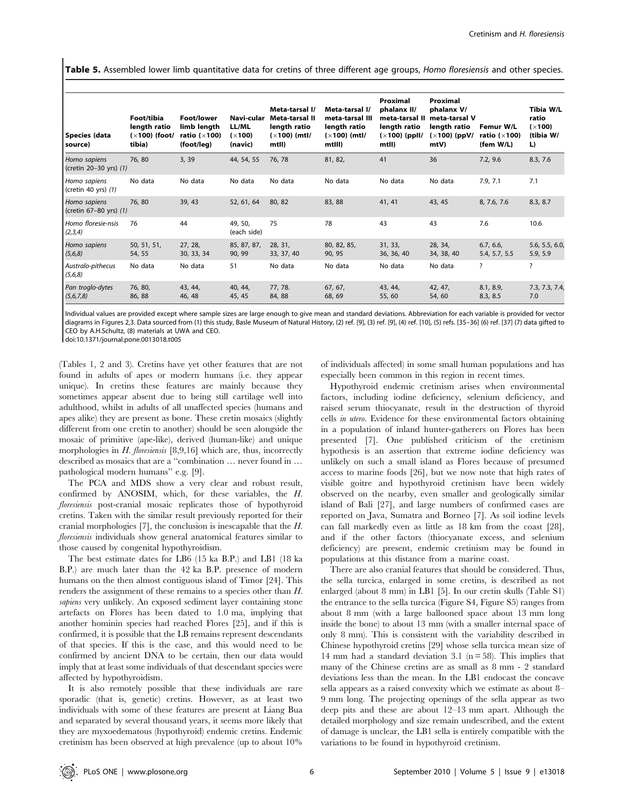Table 5. Assembled lower limb quantitative data for cretins of three different age groups, Homo floresiensis and other species.

| Species (data<br>source)               | Foot/tibia<br>length ratio<br>$(x100)$ (foot/<br>tibia) | <b>Foot/lower</b><br>limb length<br>ratio ( $\times$ 100)<br>(foot/leg) | Navi-cular<br>LL/ML<br>(x100)<br>(navic) | Meta-tarsal I/<br>Meta-tarsal II<br>length ratio<br>$(x100)$ (mtl/<br>mtll) | Meta-tarsal I/<br>meta-tarsal III<br>length ratio<br>$(x100)$ (mtl/<br>mtlll) | Proximal<br>phalanx II/<br>meta-tarsal II<br>length ratio<br>$(x100)$ (ppll/<br>mtll) | Proximal<br>phalanx V/<br>meta-tarsal V<br>length ratio<br>$(x100)$ (ppV/<br>mtV) | Femur W/L<br>ratio ( $\times$ 100)<br>(fem $W/L$ ) | Tibia W/L<br>ratio<br>(x100)<br>(tibia W/<br>L) |
|----------------------------------------|---------------------------------------------------------|-------------------------------------------------------------------------|------------------------------------------|-----------------------------------------------------------------------------|-------------------------------------------------------------------------------|---------------------------------------------------------------------------------------|-----------------------------------------------------------------------------------|----------------------------------------------------|-------------------------------------------------|
| Homo sapiens<br>(cretin 20-30 yrs) (1) | 76,80                                                   | 3, 39                                                                   | 44, 54, 55                               | 76, 78                                                                      | 81, 82,                                                                       | 41                                                                                    | 36                                                                                | 7.2, 9.6                                           | 8.3, 7.6                                        |
| Homo sapiens<br>(cretin 40 yrs) (1)    | No data                                                 | No data                                                                 | No data                                  | No data                                                                     | No data                                                                       | No data                                                                               | No data                                                                           | 7.9, 7.1                                           | 7.1                                             |
| Homo sapiens<br>(cretin 67-80 yrs) (1) | 76,80                                                   | 39, 43                                                                  | 52, 61, 64                               | 80, 82                                                                      | 83, 88                                                                        | 41, 41                                                                                | 43, 45                                                                            | 8, 7.6, 7.6                                        | 8.3, 8.7                                        |
| Homo floresie-nsis<br>(2,3,4)          | 76                                                      | 44                                                                      | 49, 50,<br>(each side)                   | 75                                                                          | 78                                                                            | 43                                                                                    | 43                                                                                | 7.6                                                | 10.6                                            |
| Homo sapiens<br>(5,6,8)                | 50, 51, 51,<br>54, 55                                   | 27, 28,<br>30, 33, 34                                                   | 85, 87, 87,<br>90, 99                    | 28, 31,<br>33, 37, 40                                                       | 80, 82, 85,<br>90, 95                                                         | 31, 33,<br>36, 36, 40                                                                 | 28, 34,<br>34, 38, 40                                                             | 6.7, 6.6,<br>5.4, 5.7, 5.5                         | 5.6, 5.5, 6.0,<br>5.9, 5.9                      |
| Australo-pithecus<br>(5,6,8)           | No data                                                 | No data                                                                 | 51                                       | No data                                                                     | No data                                                                       | No data                                                                               | No data                                                                           | ?                                                  | $\overline{\cdot}$                              |
| Pan troglo-dytes<br>(5,6,7,8)          | 76, 80,<br>86, 88                                       | 43, 44,<br>46, 48                                                       | 40, 44,<br>45, 45                        | 77, 78.<br>84, 88                                                           | 67, 67,<br>68, 69                                                             | 43, 44,<br>55, 60                                                                     | 42, 47,<br>54, 60                                                                 | 8.1, 8.9,<br>8.3, 8.5                              | 7.3, 7.3, 7.4,<br>7.0                           |

Individual values are provided except where sample sizes are large enough to give mean and standard deviations. Abbreviation for each variable is provided for vector diagrams in Figures 2,3. Data sourced from (1) this study, Basle Museum of Natural History, (2) ref. [9], (3) ref. [9], (4) ref. [10], (5) refs. [35–36] (6) ref. [37] (7) data gifted to CEO by A.H.Schultz, (8) materials at UWA and CEO.

doi:10.1371/journal.pone.0013018.t005

(Tables 1, 2 and 3). Cretins have yet other features that are not found in adults of apes or modern humans (i.e. they appear unique). In cretins these features are mainly because they sometimes appear absent due to being still cartilage well into adulthood, whilst in adults of all unaffected species (humans and apes alike) they are present as bone. These cretin mosaics (slightly different from one cretin to another) should be seen alongside the mosaic of primitive (ape-like), derived (human-like) and unique morphologies in  $H$ . floresiensis [8,9,16] which are, thus, incorrectly described as mosaics that are a ''combination … never found in … pathological modern humans'' e.g. [9].

The PCA and MDS show a very clear and robust result, confirmed by ANOSIM, which, for these variables, the H. floresiensis post-cranial mosaic replicates those of hypothyroid cretins. Taken with the similar result previously reported for their cranial morphologies [7], the conclusion is inescapable that the H. floresiensis individuals show general anatomical features similar to those caused by congenital hypothyroidism.

The best estimate dates for LB6 (15 ka B.P.) and LB1 (18 ka B.P.) are much later than the 42 ka B.P. presence of modern humans on the then almost contiguous island of Timor [24]. This renders the assignment of these remains to a species other than H. sapiens very unlikely. An exposed sediment layer containing stone artefacts on Flores has been dated to 1.0 ma, implying that another hominin species had reached Flores [25], and if this is confirmed, it is possible that the LB remains represent descendants of that species. If this is the case, and this would need to be confirmed by ancient DNA to be certain, then our data would imply that at least some individuals of that descendant species were affected by hypothyroidism.

It is also remotely possible that these individuals are rare sporadic (that is, genetic) cretins. However, as at least two individuals with some of these features are present at Liang Bua and separated by several thousand years, it seems more likely that they are myxoedematous (hypothyroid) endemic cretins. Endemic cretinism has been observed at high prevalence (up to about 10%

of individuals affected) in some small human populations and has especially been common in this region in recent times.

Hypothyroid endemic cretinism arises when environmental factors, including iodine deficiency, selenium deficiency, and raised serum thiocyanate, result in the destruction of thyroid cells in utero. Evidence for these environmental factors obtaining in a population of inland hunter-gatherers on Flores has been presented [7]. One published criticism of the cretinism hypothesis is an assertion that extreme iodine deficiency was unlikely on such a small island as Flores because of presumed access to marine foods [26], but we now note that high rates of visible goitre and hypothyroid cretinism have been widely observed on the nearby, even smaller and geologically similar island of Bali [27], and large numbers of confirmed cases are reported on Java, Sumatra and Borneo [7]. As soil iodine levels can fall markedly even as little as 18 km from the coast [28], and if the other factors (thiocyanate excess, and selenium deficiency) are present, endemic cretinism may be found in populations at this distance from a marine coast.

There are also cranial features that should be considered. Thus, the sella turcica, enlarged in some cretins, is described as not enlarged (about 8 mm) in LB1 [5]. In our cretin skulls (Table S1) the entrance to the sella turcica (Figure S4, Figure S5) ranges from about 8 mm (with a large ballooned space about 13 mm long inside the bone) to about 13 mm (with a smaller internal space of only 8 mm). This is consistent with the variability described in Chinese hypothyroid cretins [29] whose sella turcica mean size of 14 mm had a standard deviation 3.1 ( $n = 58$ ). This implies that many of the Chinese cretins are as small as 8 mm - 2 standard deviations less than the mean. In the LB1 endocast the concave sella appears as a raised convexity which we estimate as about 8– 9 mm long. The projecting openings of the sella appear as two deep pits and these are about 12–13 mm apart. Although the detailed morphology and size remain undescribed, and the extent of damage is unclear, the LB1 sella is entirely compatible with the variations to be found in hypothyroid cretinism.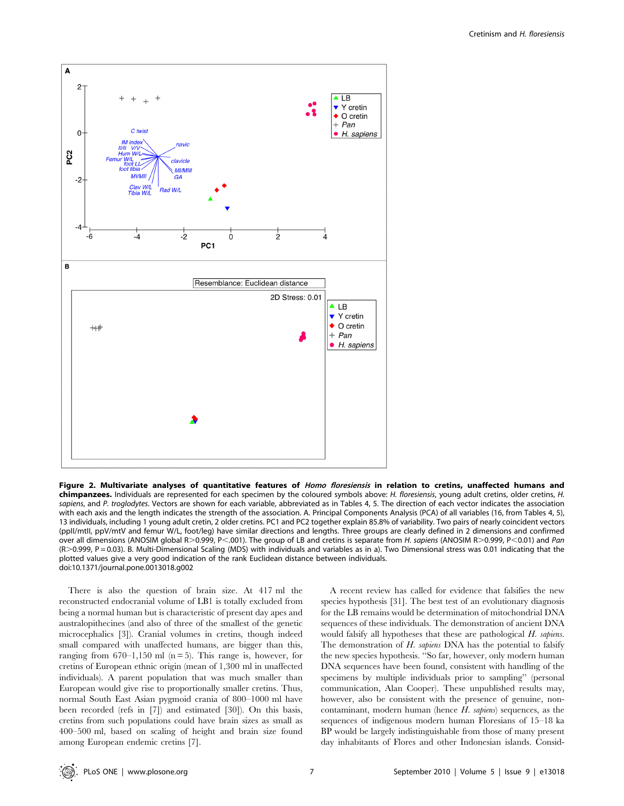

Figure 2. Multivariate analyses of quantitative features of Homo floresiensis in relation to cretins, unaffected humans and chimpanzees. Individuals are represented for each specimen by the coloured symbols above: H. floresiensis, young adult cretins, older cretins, H. sapiens, and P. troglodytes. Vectors are shown for each variable, abbreviated as in Tables 4, 5. The direction of each vector indicates the association with each axis and the length indicates the strength of the association. A. Principal Components Analysis (PCA) of all variables (16, from Tables 4, 5), 13 individuals, including 1 young adult cretin, 2 older cretins. PC1 and PC2 together explain 85.8% of variability. Two pairs of nearly coincident vectors (ppII/mtII, ppV/mtV and femur W/L, foot/leg) have similar directions and lengths. Three groups are clearly defined in 2 dimensions and confirmed over all dimensions (ANOSIM global R>0.999, P<.001). The group of LB and cretins is separate from H. sapiens (ANOSIM R>0.999, P<0.01) and Pan (R.0.999, P = 0.03). B. Multi-Dimensional Scaling (MDS) with individuals and variables as in a). Two Dimensional stress was 0.01 indicating that the plotted values give a very good indication of the rank Euclidean distance between individuals. doi:10.1371/journal.pone.0013018.g002

There is also the question of brain size. At 417 ml the reconstructed endocranial volume of LB1 is totally excluded from being a normal human but is characteristic of present day apes and australopithecines (and also of three of the smallest of the genetic microcephalics [3]). Cranial volumes in cretins, though indeed small compared with unaffected humans, are bigger than this, ranging from  $670-1,150$  ml  $(n=5)$ . This range is, however, for cretins of European ethnic origin (mean of 1,300 ml in unaffected individuals). A parent population that was much smaller than European would give rise to proportionally smaller cretins. Thus, normal South East Asian pygmoid crania of 800–1000 ml have been recorded (refs in [7]) and estimated [30]). On this basis, cretins from such populations could have brain sizes as small as 400–500 ml, based on scaling of height and brain size found among European endemic cretins [7].

A recent review has called for evidence that falsifies the new species hypothesis [31]. The best test of an evolutionary diagnosis for the LB remains would be determination of mitochondrial DNA sequences of these individuals. The demonstration of ancient DNA would falsify all hypotheses that these are pathological H. sapiens. The demonstration of H. sapiens DNA has the potential to falsify the new species hypothesis. ''So far, however, only modern human DNA sequences have been found, consistent with handling of the specimens by multiple individuals prior to sampling'' (personal communication, Alan Cooper). These unpublished results may, however, also be consistent with the presence of genuine, noncontaminant, modern human (hence H. sapiens) sequences, as the sequences of indigenous modern human Floresians of 15–18 ka BP would be largely indistinguishable from those of many present day inhabitants of Flores and other Indonesian islands. Consid-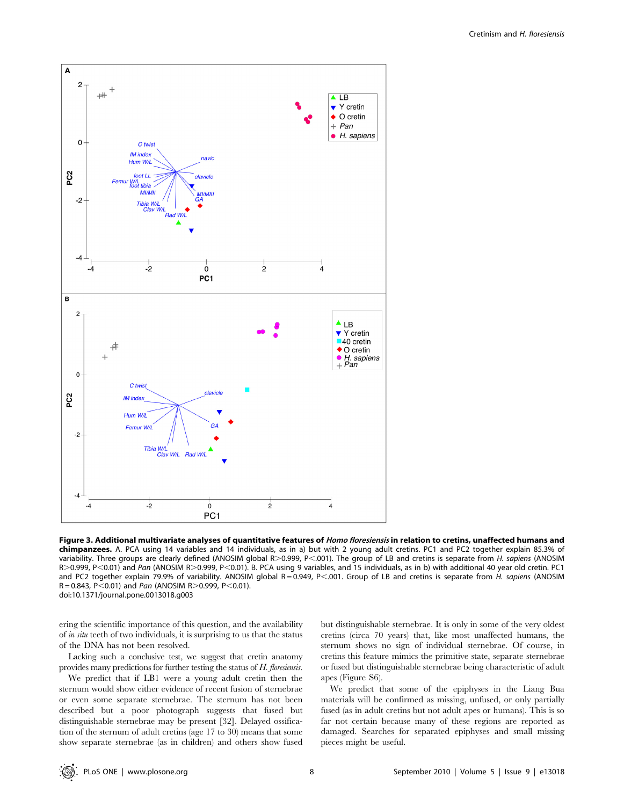

Figure 3. Additional multivariate analyses of quantitative features of *Homo floresiensis* in relation to cretins, unaffected humans and chimpanzees. A. PCA using 14 variables and 14 individuals, as in a) but with 2 young adult cretins. PC1 and PC2 together explain 85.3% of variability. Three groups are clearly defined (ANOSIM global R>0.999, P<.001). The group of LB and cretins is separate from H. sapiens (ANOSIM R>0.999, P<0.01) and Pan (ANOSIM R>0.999, P<0.01). B. PCA using 9 variables, and 15 individuals, as in b) with additional 40 year old cretin. PC1 and PC2 together explain 79.9% of variability. ANOSIM global R=0.949, P<.001. Group of LB and cretins is separate from H. sapiens (ANOSIM  $R = 0.843$ , P $< 0.01$ ) and Pan (ANOSIM R $> 0.999$ , P $< 0.01$ ). doi:10.1371/journal.pone.0013018.g003

ering the scientific importance of this question, and the availability of in situ teeth of two individuals, it is surprising to us that the status of the DNA has not been resolved.

Lacking such a conclusive test, we suggest that cretin anatomy provides many predictions for further testing the status of H. floresiensis.

We predict that if LB1 were a young adult cretin then the sternum would show either evidence of recent fusion of sternebrae or even some separate sternebrae. The sternum has not been described but a poor photograph suggests that fused but distinguishable sternebrae may be present [32]. Delayed ossification of the sternum of adult cretins (age 17 to 30) means that some show separate sternebrae (as in children) and others show fused but distinguishable sternebrae. It is only in some of the very oldest cretins (circa 70 years) that, like most unaffected humans, the sternum shows no sign of individual sternebrae. Of course, in cretins this feature mimics the primitive state, separate sternebrae or fused but distinguishable sternebrae being characteristic of adult apes (Figure S6).

We predict that some of the epiphyses in the Liang Bua materials will be confirmed as missing, unfused, or only partially fused (as in adult cretins but not adult apes or humans). This is so far not certain because many of these regions are reported as damaged. Searches for separated epiphyses and small missing pieces might be useful.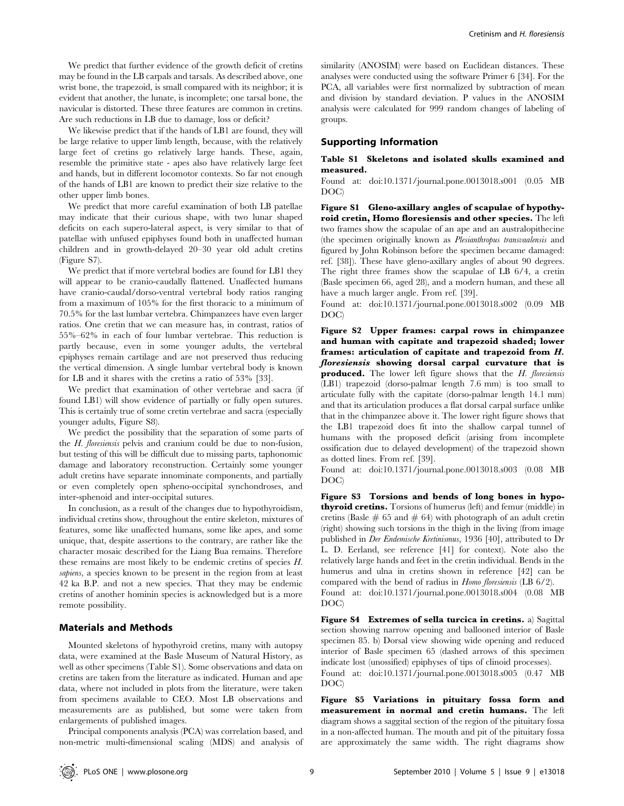We predict that further evidence of the growth deficit of cretins may be found in the LB carpals and tarsals. As described above, one wrist bone, the trapezoid, is small compared with its neighbor; it is evident that another, the lunate, is incomplete; one tarsal bone, the navicular is distorted. These three features are common in cretins. Are such reductions in LB due to damage, loss or deficit?

We likewise predict that if the hands of LB1 are found, they will be large relative to upper limb length, because, with the relatively large feet of cretins go relatively large hands. These, again, resemble the primitive state - apes also have relatively large feet and hands, but in different locomotor contexts. So far not enough of the hands of LB1 are known to predict their size relative to the other upper limb bones.

We predict that more careful examination of both LB patellae may indicate that their curious shape, with two lunar shaped deficits on each supero-lateral aspect, is very similar to that of patellae with unfused epiphyses found both in unaffected human children and in growth-delayed 20–30 year old adult cretins (Figure S7).

We predict that if more vertebral bodies are found for LB1 they will appear to be cranio-caudally flattened. Unaffected humans have cranio-caudal/dorso-ventral vertebral body ratios ranging from a maximum of 105% for the first thoracic to a minimum of 70.5% for the last lumbar vertebra. Chimpanzees have even larger ratios. One cretin that we can measure has, in contrast, ratios of 55%–62% in each of four lumbar vertebrae. This reduction is partly because, even in some younger adults, the vertebral epiphyses remain cartilage and are not preserved thus reducing the vertical dimension. A single lumbar vertebral body is known for LB and it shares with the cretins a ratio of 53% [33].

We predict that examination of other vertebrae and sacra (if found LB1) will show evidence of partially or fully open sutures. This is certainly true of some cretin vertebrae and sacra (especially younger adults, Figure S8).

We predict the possibility that the separation of some parts of the H. floresiensis pelvis and cranium could be due to non-fusion, but testing of this will be difficult due to missing parts, taphonomic damage and laboratory reconstruction. Certainly some younger adult cretins have separate innominate components, and partially or even completely open spheno-occipital synchondroses, and inter-sphenoid and inter-occipital sutures.

In conclusion, as a result of the changes due to hypothyroidism, individual cretins show, throughout the entire skeleton, mixtures of features, some like unaffected humans, some like apes, and some unique, that, despite assertions to the contrary, are rather like the character mosaic described for the Liang Bua remains. Therefore these remains are most likely to be endemic cretins of species H. sapiens, a species known to be present in the region from at least 42 ka B.P. and not a new species. That they may be endemic cretins of another hominin species is acknowledged but is a more remote possibility.

# Materials and Methods

Mounted skeletons of hypothyroid cretins, many with autopsy data, were examined at the Basle Museum of Natural History, as well as other specimens (Table S1). Some observations and data on cretins are taken from the literature as indicated. Human and ape data, where not included in plots from the literature, were taken from specimens available to CEO. Most LB observations and measurements are as published, but some were taken from enlargements of published images.

Principal components analysis (PCA) was correlation based, and non-metric multi-dimensional scaling (MDS) and analysis of similarity (ANOSIM) were based on Euclidean distances. These analyses were conducted using the software Primer 6 [34]. For the PCA, all variables were first normalized by subtraction of mean and division by standard deviation. P values in the ANOSIM analysis were calculated for 999 random changes of labeling of groups.

#### Supporting Information

# Table S1 Skeletons and isolated skulls examined and measured.

Found at: doi:10.1371/journal.pone.0013018.s001 (0.05 MB DOC)

Figure S1 Gleno-axillary angles of scapulae of hypothyroid cretin, Homo floresiensis and other species. The left two frames show the scapulae of an ape and an australopithecine (the specimen originally known as Plesianthropus transvaalensis and figured by John Robinson before the specimen became damaged: ref. [38]). These have gleno-axillary angles of about 90 degrees. The right three frames show the scapulae of LB 6/4, a cretin (Basle specimen 66, aged 28), and a modern human, and these all have a much larger angle. From ref. [39].

Found at: doi:10.1371/journal.pone.0013018.s002 (0.09 MB DOC)

Figure S2 Upper frames: carpal rows in chimpanzee and human with capitate and trapezoid shaded; lower frames: articulation of capitate and trapezoid from H. floresiensis showing dorsal carpal curvature that is produced. The lower left figure shows that the H. floresiensis (LB1) trapezoid (dorso-palmar length 7.6 mm) is too small to articulate fully with the capitate (dorso-palmar length 14.1 mm) and that its articulation produces a flat dorsal carpal surface unlike that in the chimpanzee above it. The lower right figure shows that the LB1 trapezoid does fit into the shallow carpal tunnel of humans with the proposed deficit (arising from incomplete ossification due to delayed development) of the trapezoid shown as dotted lines. From ref. [39].

Found at: doi:10.1371/journal.pone.0013018.s003 (0.08 MB DOC)

Figure S3 Torsions and bends of long bones in hypothyroid cretins. Torsions of humerus (left) and femur (middle) in cretins (Basle  $\#$  65 and  $\#$  64) with photograph of an adult cretin (right) showing such torsions in the thigh in the living (from image published in Der Endemische Kretinismus, 1936 [40], attributed to Dr L. D. Eerland, see reference [41] for context). Note also the relatively large hands and feet in the cretin individual. Bends in the humerus and ulna in cretins shown in reference [42] can be compared with the bend of radius in Homo floresiensis (LB 6/2).

Found at: doi:10.1371/journal.pone.0013018.s004 (0.08 MB DOC)

Figure S4 Extremes of sella turcica in cretins. a) Sagittal section showing narrow opening and ballooned interior of Basle specimen 85. b) Dorsal view showing wide opening and reduced interior of Basle specimen 65 (dashed arrows of this specimen indicate lost (unossified) epiphyses of tips of clinoid processes).

Found at: doi:10.1371/journal.pone.0013018.s005 (0.47 MB DOC)

Figure S5 Variations in pituitary fossa form and measurement in normal and cretin humans. The left diagram shows a saggital section of the region of the pituitary fossa in a non-affected human. The mouth and pit of the pituitary fossa are approximately the same width. The right diagrams show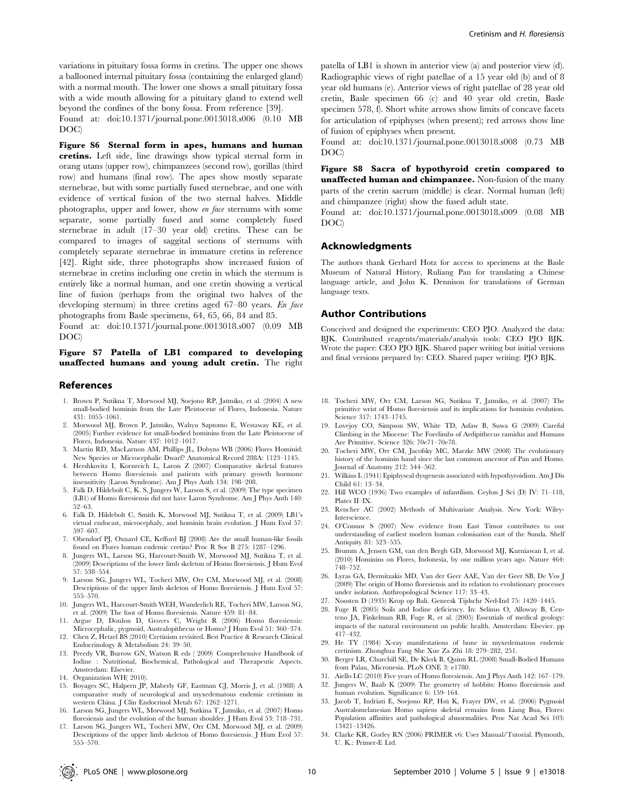variations in pituitary fossa forms in cretins. The upper one shows a ballooned internal pituitary fossa (containing the enlarged gland) with a normal mouth. The lower one shows a small pituitary fossa with a wide mouth allowing for a pituitary gland to extend well beyond the confines of the bony fossa. From reference [39]. Found at: doi:10.1371/journal.pone.0013018.s006 (0.10 MB

DOC)

Figure S6 Sternal form in apes, humans and human cretins. Left side, line drawings show typical sternal form in orang utans (upper row), chimpanzees (second row), gorillas (third row) and humans (final row). The apes show mostly separate sternebrae, but with some partially fused sternebrae, and one with evidence of vertical fusion of the two sternal halves. Middle photographs, upper and lower, show en face sternums with some separate, some partially fused and some completely fused sternebrae in adult (17–30 year old) cretins. These can be compared to images of saggital sections of sternums with completely separate sternebrae in immature cretins in reference [42]. Right side, three photographs show increased fusion of sternebrae in cretins including one cretin in which the sternum is entirely like a normal human, and one cretin showing a vertical line of fusion (perhaps from the original two halves of the developing sternum) in three cretins aged 67–80 years. En face photographs from Basle specimens, 64, 65, 66, 84 and 85.

Found at: doi:10.1371/journal.pone.0013018.s007 (0.09 MB DOC)

# Figure S7 Patella of LB1 compared to developing unaffected humans and young adult cretin. The right

#### References

- 1. Brown P, Sutikna T, Morwood MJ, Soejono RP, Jatmiko, et al. (2004) A new small-bodied hominin from the Late Pleistocene of Flores, Indonesia. Nature 431: 1055–1061.
- 2. Morwood MJ, Brown P, Jatmiko, Wahyu Saptomo E, Westaway KE, et al. (2005) Further evidence for small-bodied hominins from the Late Pleistocene of Flores, Indonesia. Nature 437: 1012–1017.
- 3. Martin RD, MacLarnon AM, Phillips JL, Dobyns WB (2006) Flores Hominid: New Species or Microcephalic Dwarf? Anatomical Record 288A: 1123–1145.
- 4. Hershkovitz I, Kornreich L, Laron Z (2007) Comparative skeletal features between Homo floresiensis and patients with primary growth hormone insensitivity (Laron Syndrome). Am J Phys Anth 134: 198–208.
- 5. Falk D, Hildebolt C, K. S, Jungers W, Larson S, et al. (2009) The type specimen (LB1) of Homo floresiensis did not have Laron Syndrome. Am J Phys Anth 140: 52–63.
- 6. Falk D, Hildebolt C, Smith K, Morwood MJ, Sutikna T, et al. (2009) LB1's virtual endocast, microcephaly, and hominin brain evolution. J Hum Evol 57: 597–607.
- 7. Obendorf PJ, Oxnard CE, Kefford BJ (2008) Are the small human-like fossils found on Flores human endemic cretins? Proc R Soc B 275: 1287–1296.
- 8. Jungers WL, Larson SG, Harcourt-Smith W, Morwood MJ, Sutikna T, et al. (2009) Descriptions of the lower limb skeleton of Homo floresiensis. J Hum Evol 57: 538–554.
- 9. Larson SG, Jungers WL, Tocheri MW, Orr CM, Morwood MJ, et al. (2008) Descriptions of the upper limb skeleton of Homo floresiensis. J Hum Evol 57: 555–570. 10. Jungers WL, Harcourt-Smith WEH, Wunderlich RE, Tocheri MW, Larson SG,
- et al. (2009) The foot of Homo floresiensis. Nature 459: 81–84.
- 11. Argue D, Donlon D, Groves C, Wright R (2006) Homo floresiensis: Microcephalic, pygmoid, Australopithecus or Homo? J Hum Evol 51: 360–374. 12. Chen Z, Hetzel BS (2010) Cretinism revisited. Best Practice & Research Clinical Endocrinology & Metabolism 24: 39–50.
- 13. Preedy VR, Burrow GN, Watson R eds ( 2009) Comprehensive Handbook of Iodine : Nutritional, Biochemical, Pathological and Therapeutic Aspects. Amsterdam: Elsevier.
- 14. Organization WH( 2010).

555–570.

- 15. Boyages SC, Halpern JP, Maberly GF, Eastman CJ, Morris J, et al. (1988) A comparative study of neurological and myxedematous endemic cretinism in western China. J Clin Endocrinol Metab 67: 1262–1271.
- 16. Larson SG, Jungers WL, Morwood MJ, Sutkina T, Jatmiko, et al. (2007) Homo floresiensis and the evolution of the human shoulder. J Hum Evol 53: 718–731. 17. Larson SG, Jungers WL, Tocheri MW, Orr CM, Morwood MJ, et al. (2009)

patella of LB1 is shown in anterior view (a) and posterior view (d). Radiographic views of right patellae of a 15 year old (b) and of 8

specimen 578, f). Short white arrows show limits of concave facets for articulation of epiphyses (when present); red arrows show line of fusion of epiphyses when present.

Found at: doi:10.1371/journal.pone.0013018.s008 (0.73 MB DOC)

Figure S8 Sacra of hypothyroid cretin compared to unaffected human and chimpanzee. Non-fusion of the many parts of the cretin sacrum (middle) is clear. Normal human (left) and chimpanzee (right) show the fused adult state.

Found at: doi:10.1371/journal.pone.0013018.s009 (0.08 MB DOC)

#### Acknowledgments

The authors thank Gerhard Hotz for access to specimens at the Basle Museum of Natural History, Ruliang Pan for translating a Chinese language article, and John K. Dennison for translations of German language texts.

### Author Contributions

Conceived and designed the experiments: CEO PJO. Analyzed the data: BJK. Contributed reagents/materials/analysis tools: CEO PJO BJK. Wrote the paper: CEO PJO BJK. Shared paper writing but initial versions and final versions prepared by: CEO. Shared paper writing: PJO BJK.

- 18. Tocheri MW, Orr CM, Larson SG, Sutikna T, Jatmiko, et al. (2007) The primitive wrist of Homo floresiensis and its implications for hominin evolution. Science 317: 1743–1745.
- 19. Lovejoy CO, Simpson SW, White TD, Asfaw B, Suwa G (2009) Careful Climbing in the Miocene: The Forelimbs of Ardipithecus ramidus and Humans Are Primitive. Science 326: 70e71–70e78.
- 20. Tocheri MW, Orr CM, Jacofsky MC, Marzke MW (2008) The evolutionary history of the hominin hand since the last common ancestor of Pan and Homo. Journal of Anatomy 212: 544–562.
- 21. Wilkins L (1941) Epiphyseal dysgenesis associated with hypothyroidism. Am J Dis Child 61: 13–34.
- 22. Hill WCO (1936) Two examples of infantilism. Ceylon J Sci (D) IV: 71–118, Plates II–IX.
- 23. Rencher AC (2002) Methods of Multivariate Analysis. New York: Wiley-Interscience.
- 24. O'Connor S (2007) New evidence from East Timor contributes to our understanding of earliest modern human colonisation east of the Sunda. Shelf Antiquity 81: 523–535.
- 25. Brumm A, Jensen GM, van den Bergh GD, Morwood MJ, Kurniawan I, et al. (2010) Hominins on Flores, Indonesia, by one million years ago. Nature 464: 748–752.
- 26. Lyras GA, Dermitzakis MD, Van der Geer AAE, Van der Geer SB, De Vos J (2009) The origin of Homo floresiensis and its relation to evolutionary processes under isolation. Anthropological Science 117: 33–43.
- 27. Noosten D (1935) Krop op Bali. Geneesk Tijdschr Ned-Ind 75: 1420–1445.
- 28. Fuge R (2005) Soils and Iodine deficiency. In: Selinus O, Alloway B, Centeno JA, Finkelman RB, Fuge R, et al. (2005) Essentials of medical geology: impacts of the natural environment on public health. Amsterdam: Elsevier. pp 417–432.
- 29. He TY (1984) X-ray manifestations of bone in myxedematous endemic cretinism. Zhonghua Fang She Xue Za Zhi 18: 279–282, 251.
- 30. Berger LR, Churchill SE, De Klerk B, Quinn RL (2008) Small-Bodied Humans from Palau, Micronesia. PLoS ONE 3: e1780.
- 31. Aiello LC (2010) Five years of Homo floresiensis. Am J Phys Anth 142: 167–179.
- 32. Jungers W, Baab K (2009) The geometry of hobbits: Homo floresiensis and human evolution. Significance 6: 159–164.
- 33. Jacob T, Indriati E, Soejono RP, Hsu¨ K, Frayer DW, et al. (2006) Pygmoid Australomelanesian Homo sapiens skeletal remains from Liang Bua, Flores: Population affinities and pathological abnormalities. Proc Nat Acad Sci 103: 13421–13426.
- Descriptions of the upper limb skeleton of Homo floresiensis. J Hum Evol 57: 34. Clarke KR, Gorley RN (2006) PRIMER v6: User Manual/Tutorial. Plymouth, U. K.: Primer-E Ltd.